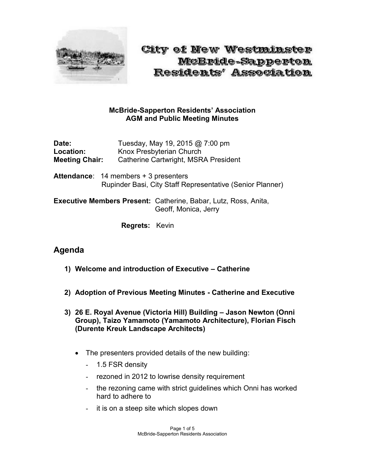

City of New Westminster McBride-Sapperton Residents' Association

#### **McBride-Sapperton Residents' Association AGM and Public Meeting Minutes**

**Date:** Tuesday, May 19, 2015 @ 7:00 pm Location: Knox Presbyterian Church **Meeting Chair:** Catherine Cartwright, MSRA President

**Attendance**: 14 members + 3 presenters Rupinder Basi, City Staff Representative (Senior Planner)

**Executive Members Present:** Catherine, Babar, Lutz, Ross, Anita, Geoff, Monica, Jerry

**Regrets:** Kevin

# **Agenda**

- **1) Welcome and introduction of Executive – Catherine**
- **2) Adoption of Previous Meeting Minutes - Catherine and Executive**
- **3) 26 E. Royal Avenue (Victoria Hill) Building – Jason Newton (Onni Group), Taizo Yamamoto (Yamamoto Architecture), Florian Fisch (Durente Kreuk Landscape Architects)**
	- The presenters provided details of the new building:
		- 1.5 FSR density
		- rezoned in 2012 to lowrise density requirement
		- the rezoning came with strict guidelines which Onni has worked hard to adhere to
		- it is on a steep site which slopes down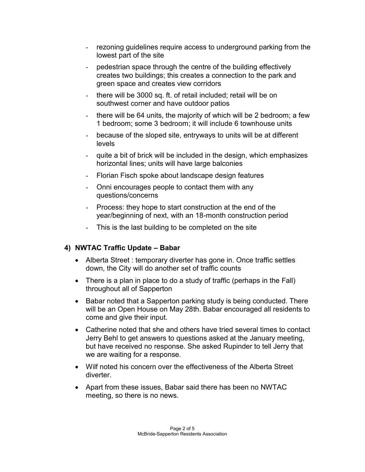- rezoning guidelines require access to underground parking from the lowest part of the site
- pedestrian space through the centre of the building effectively creates two buildings; this creates a connection to the park and green space and creates view corridors
- there will be 3000 sq. ft. of retail included; retail will be on southwest corner and have outdoor patios
- there will be 64 units, the majority of which will be 2 bedroom; a few 1 bedroom; some 3 bedroom; it will include 6 townhouse units
- because of the sloped site, entryways to units will be at different levels
- quite a bit of brick will be included in the design, which emphasizes horizontal lines; units will have large balconies
- Florian Fisch spoke about landscape design features
- Onni encourages people to contact them with any questions/concerns
- Process: they hope to start construction at the end of the year/beginning of next, with an 18-month construction period
- This is the last building to be completed on the site

#### **4) NWTAC Traffic Update – Babar**

- Alberta Street : temporary diverter has gone in. Once traffic settles down, the City will do another set of traffic counts
- There is a plan in place to do a study of traffic (perhaps in the Fall) throughout all of Sapperton
- Babar noted that a Sapperton parking study is being conducted. There will be an Open House on May 28th. Babar encouraged all residents to come and give their input.
- Catherine noted that she and others have tried several times to contact Jerry Behl to get answers to questions asked at the January meeting, but have received no response. She asked Rupinder to tell Jerry that we are waiting for a response.
- Wilf noted his concern over the effectiveness of the Alberta Street diverter.
- Apart from these issues, Babar said there has been no NWTAC meeting, so there is no news.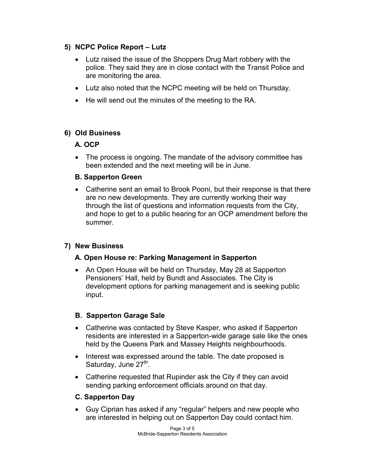### **5) NCPC Police Report – Lutz**

- Lutz raised the issue of the Shoppers Drug Mart robbery with the police. They said they are in close contact with the Transit Police and are monitoring the area.
- Lutz also noted that the NCPC meeting will be held on Thursday.
- He will send out the minutes of the meeting to the RA.

### **6) Old Business**

### **A. OCP**

• The process is ongoing. The mandate of the advisory committee has been extended and the next meeting will be in June.

### **B. Sapperton Green**

 Catherine sent an email to Brook Pooni, but their response is that there are no new developments. They are currently working their way through the list of questions and information requests from the City, and hope to get to a public hearing for an OCP amendment before the summer.

# **7) New Business**

# **A. Open House re: Parking Management in Sapperton**

• An Open House will be held on Thursday, May 28 at Sapperton Pensioners' Hall, held by Bundt and Associates. The City is development options for parking management and is seeking public input.

# **B. Sapperton Garage Sale**

- Catherine was contacted by Steve Kasper, who asked if Sapperton residents are interested in a Sapperton-wide garage sale like the ones held by the Queens Park and Massey Heights neighbourhoods.
- Interest was expressed around the table. The date proposed is Saturday, June 27<sup>th</sup>.
- Catherine requested that Rupinder ask the City if they can avoid sending parking enforcement officials around on that day.

# **C. Sapperton Day**

 Guy Ciprian has asked if any "regular" helpers and new people who are interested in helping out on Sapperton Day could contact him.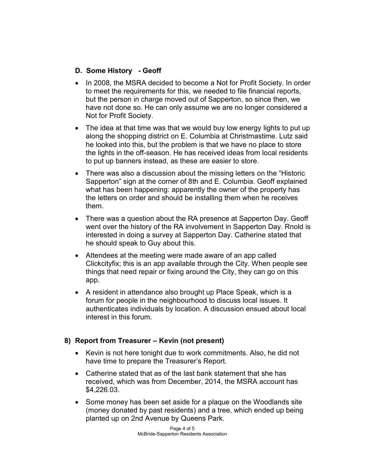### **D. Some History - Geoff**

- In 2008, the MSRA decided to become a Not for Profit Society. In order to meet the requirements for this, we needed to file financial reports, but the person in charge moved out of Sapperton, so since then, we have not done so. He can only assume we are no longer considered a Not for Profit Society.
- The idea at that time was that we would buy low energy lights to put up along the shopping district on E. Columbia at Christmastime. Lutz said he looked into this, but the problem is that we have no place to store the lights in the off-season. He has received ideas from local residents to put up banners instead, as these are easier to store.
- There was also a discussion about the missing letters on the "Historic" Sapperton" sign at the corner of 8th and E. Columbia. Geoff explained what has been happening: apparently the owner of the property has the letters on order and should be installing them when he receives them.
- There was a question about the RA presence at Sapperton Day. Geoff went over the history of the RA involvement in Sapperton Day. Rnold is interested in doing a survey at Sapperton Day. Catherine stated that he should speak to Guy about this.
- Attendees at the meeting were made aware of an app called Clickcityfix; this is an app available through the City. When people see things that need repair or fixing around the City, they can go on this app.
- A resident in attendance also brought up Place Speak, which is a forum for people in the neighbourhood to discuss local issues. It authenticates individuals by location. A discussion ensued about local interest in this forum.

#### **8) Report from Treasurer – Kevin (not present)**

- Kevin is not here tonight due to work commitments. Also, he did not have time to prepare the Treasurer's Report.
- Catherine stated that as of the last bank statement that she has received, which was from December, 2014, the MSRA account has \$4,226.03.
- Some money has been set aside for a plaque on the Woodlands site (money donated by past residents) and a tree, which ended up being planted up on 2nd Avenue by Queens Park.